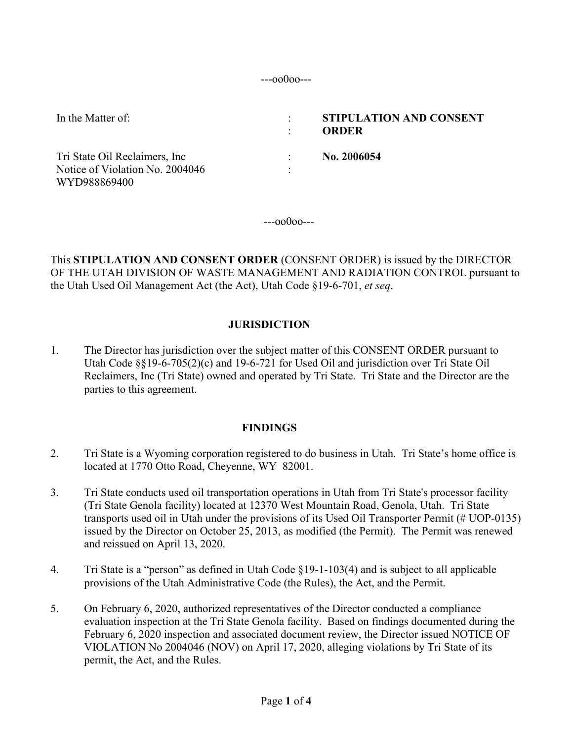---oo0oo---

| In the Matter of:                                                                 | STIPULATION AND CONSENT<br>ORDER |
|-----------------------------------------------------------------------------------|----------------------------------|
| Tri State Oil Reclaimers, Inc.<br>Notice of Violation No. 2004046<br>WYD988869400 | No. 2006054                      |

---oo0oo---

This **STIPULATION AND CONSENT ORDER** (CONSENT ORDER) is issued by the DIRECTOR OF THE UTAH DIVISION OF WASTE MANAGEMENT AND RADIATION CONTROL pursuant to the Utah Used Oil Management Act (the Act), Utah Code §19-6-701, *et seq*.

### **JURISDICTION**

1. The Director has jurisdiction over the subject matter of this CONSENT ORDER pursuant to Utah Code §§19-6-705(2)(c) and 19-6-721 for Used Oil and jurisdiction over Tri State Oil Reclaimers, Inc (Tri State) owned and operated by Tri State. Tri State and the Director are the parties to this agreement.

### **FINDINGS**

- 2. Tri State is a Wyoming corporation registered to do business in Utah. Tri State's home office is located at 1770 Otto Road, Cheyenne, WY 82001.
- 3. Tri State conducts used oil transportation operations in Utah from Tri State's processor facility (Tri State Genola facility) located at 12370 West Mountain Road, Genola, Utah. Tri State transports used oil in Utah under the provisions of its Used Oil Transporter Permit (# UOP-0135) issued by the Director on October 25, 2013, as modified (the Permit). The Permit was renewed and reissued on April 13, 2020.
- 4. Tri State is a "person" as defined in Utah Code §19-1-103(4) and is subject to all applicable provisions of the Utah Administrative Code (the Rules), the Act, and the Permit.
- 5. On February 6, 2020, authorized representatives of the Director conducted a compliance evaluation inspection at the Tri State Genola facility. Based on findings documented during the February 6, 2020 inspection and associated document review, the Director issued NOTICE OF VIOLATION No 2004046 (NOV) on April 17, 2020, alleging violations by Tri State of its permit, the Act, and the Rules.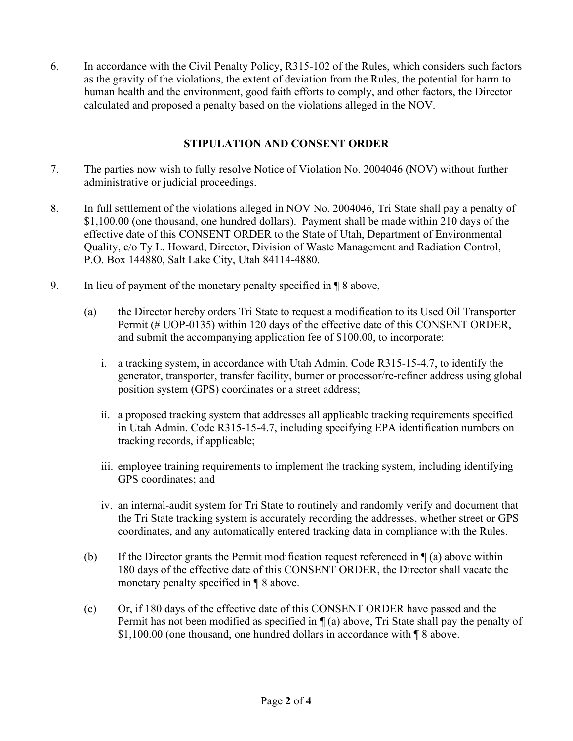6. In accordance with the Civil Penalty Policy, R315-102 of the Rules, which considers such factors as the gravity of the violations, the extent of deviation from the Rules, the potential for harm to human health and the environment, good faith efforts to comply, and other factors, the Director calculated and proposed a penalty based on the violations alleged in the NOV.

## **STIPULATION AND CONSENT ORDER**

- 7. The parties now wish to fully resolve Notice of Violation No. 2004046 (NOV) without further administrative or judicial proceedings.
- 8. In full settlement of the violations alleged in NOV No. 2004046, Tri State shall pay a penalty of \$1,100.00 (one thousand, one hundred dollars). Payment shall be made within 210 days of the effective date of this CONSENT ORDER to the State of Utah, Department of Environmental Quality, c/o Ty L. Howard, Director, Division of Waste Management and Radiation Control, P.O. Box 144880, Salt Lake City, Utah 84114-4880.
- 9. In lieu of payment of the monetary penalty specified in ¶ 8 above,
	- (a) the Director hereby orders Tri State to request a modification to its Used Oil Transporter Permit (# UOP-0135) within 120 days of the effective date of this CONSENT ORDER, and submit the accompanying application fee of \$100.00, to incorporate:
		- i. a tracking system, in accordance with Utah Admin. Code R315-15-4.7, to identify the generator, transporter, transfer facility, burner or processor/re-refiner address using global position system (GPS) coordinates or a street address;
		- ii. a proposed tracking system that addresses all applicable tracking requirements specified in Utah Admin. Code R315-15-4.7, including specifying EPA identification numbers on tracking records, if applicable;
		- iii. employee training requirements to implement the tracking system, including identifying GPS coordinates; and
		- iv. an internal-audit system for Tri State to routinely and randomly verify and document that the Tri State tracking system is accurately recording the addresses, whether street or GPS coordinates, and any automatically entered tracking data in compliance with the Rules.
	- (b) If the Director grants the Permit modification request referenced in  $\P$  (a) above within 180 days of the effective date of this CONSENT ORDER, the Director shall vacate the monetary penalty specified in ¶ 8 above.
	- (c) Or, if 180 days of the effective date of this CONSENT ORDER have passed and the Permit has not been modified as specified in ¶ (a) above, Tri State shall pay the penalty of \$1,100.00 (one thousand, one hundred dollars in accordance with ¶ 8 above.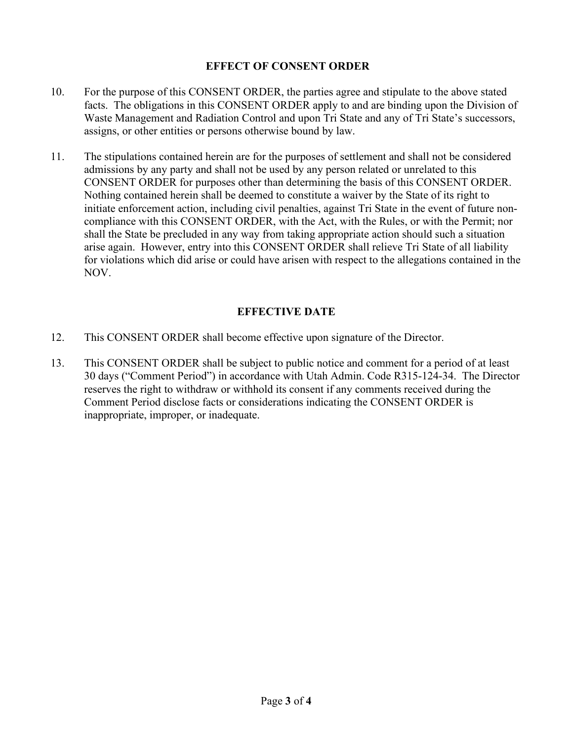## **EFFECT OF CONSENT ORDER**

- 10. For the purpose of this CONSENT ORDER, the parties agree and stipulate to the above stated facts. The obligations in this CONSENT ORDER apply to and are binding upon the Division of Waste Management and Radiation Control and upon Tri State and any of Tri State's successors, assigns, or other entities or persons otherwise bound by law.
- 11. The stipulations contained herein are for the purposes of settlement and shall not be considered admissions by any party and shall not be used by any person related or unrelated to this CONSENT ORDER for purposes other than determining the basis of this CONSENT ORDER. Nothing contained herein shall be deemed to constitute a waiver by the State of its right to initiate enforcement action, including civil penalties, against Tri State in the event of future noncompliance with this CONSENT ORDER, with the Act, with the Rules, or with the Permit; nor shall the State be precluded in any way from taking appropriate action should such a situation arise again. However, entry into this CONSENT ORDER shall relieve Tri State of all liability for violations which did arise or could have arisen with respect to the allegations contained in the NOV.

# **EFFECTIVE DATE**

- 12. This CONSENT ORDER shall become effective upon signature of the Director.
- 13. This CONSENT ORDER shall be subject to public notice and comment for a period of at least 30 days ("Comment Period") in accordance with Utah Admin. Code R315-124-34. The Director reserves the right to withdraw or withhold its consent if any comments received during the Comment Period disclose facts or considerations indicating the CONSENT ORDER is inappropriate, improper, or inadequate.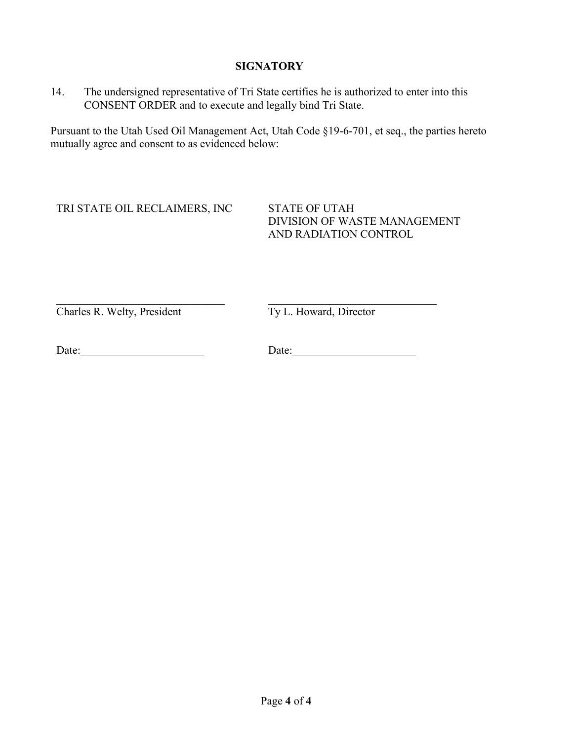### **SIGNATORY**

14. The undersigned representative of Tri State certifies he is authorized to enter into this CONSENT ORDER and to execute and legally bind Tri State.

Pursuant to the Utah Used Oil Management Act, Utah Code §19-6-701, et seq., the parties hereto mutually agree and consent to as evidenced below:

TRI STATE OIL RECLAIMERS, INC STATE OF UTAH

DIVISION OF WASTE MANAGEMENT AND RADIATION CONTROL

 $\frac{1}{2}$  ,  $\frac{1}{2}$  ,  $\frac{1}{2}$  ,  $\frac{1}{2}$  ,  $\frac{1}{2}$  ,  $\frac{1}{2}$  ,  $\frac{1}{2}$  ,  $\frac{1}{2}$  ,  $\frac{1}{2}$  ,  $\frac{1}{2}$  ,  $\frac{1}{2}$  ,  $\frac{1}{2}$  ,  $\frac{1}{2}$  ,  $\frac{1}{2}$  ,  $\frac{1}{2}$  ,  $\frac{1}{2}$  ,  $\frac{1}{2}$  ,  $\frac{1}{2}$  ,  $\frac{1$ Charles R. Welty, President

Ty L. Howard, Director

Date:

Date: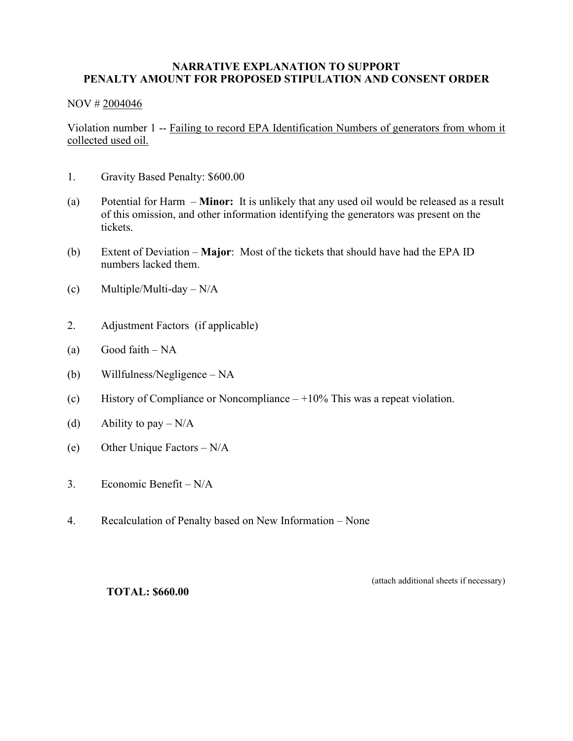#### **NARRATIVE EXPLANATION TO SUPPORT PENALTY AMOUNT FOR PROPOSED STIPULATION AND CONSENT ORDER**

#### NOV # 2004046

Violation number 1 -- Failing to record EPA Identification Numbers of generators from whom it collected used oil.

- 1. Gravity Based Penalty: \$600.00
- (a) Potential for Harm **Minor:** It is unlikely that any used oil would be released as a result of this omission, and other information identifying the generators was present on the tickets.
- (b) Extent of Deviation **Major**: Most of the tickets that should have had the EPA ID numbers lacked them.
- (c) Multiple/Multi-day  $N/A$
- 2. Adjustment Factors (if applicable)
- (a) Good faith  $NA$
- (b) Willfulness/Negligence NA
- (c) History of Compliance or Noncompliance  $-10\%$  This was a repeat violation.
- (d) Ability to pay  $-N/A$
- (e) Other Unique Factors N/A
- 3. Economic Benefit N/A
- 4. Recalculation of Penalty based on New Information None

(attach additional sheets if necessary)

**TOTAL: \$660.00**